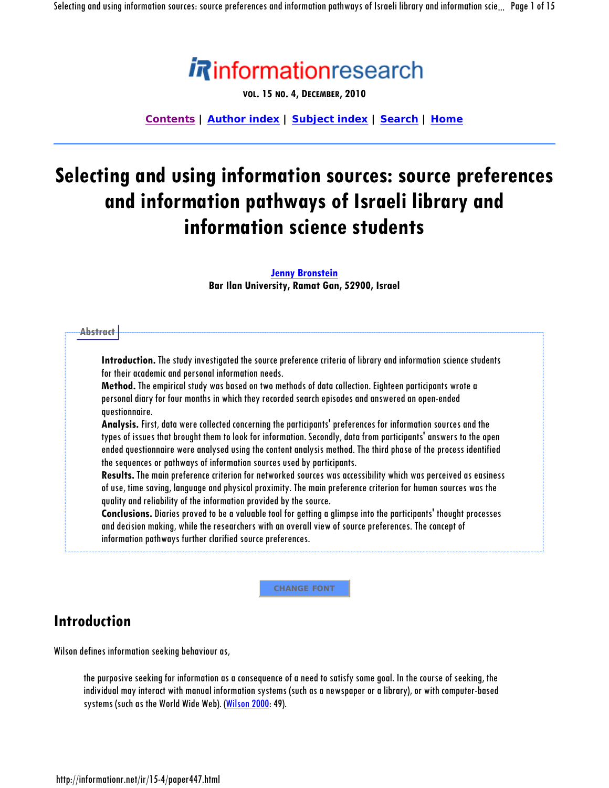

**VOL. 15 NO. 4, DECEMBER, 2010**

**Contents | Author index | Subject index | Search | Home**

# **Selecting and using information sources: source preferences and information pathways of Israeli library and information science students**

#### **Jenny Bronstein**

**Bar Ilan University, Ramat Gan, 52900, Israel** 

| Introduction. The study investigated the source preference criteria of library and information science students<br>for their academic and personal information needs.               |
|-------------------------------------------------------------------------------------------------------------------------------------------------------------------------------------|
| Method. The empirical study was based on two methods of data collection. Eighteen participants wrote a                                                                              |
| personal diary for four months in which they recorded search episodes and answered an open-ended<br>questionnaire.                                                                  |
| Analysis. First, data were collected concerning the participants' preferences for information sources and the                                                                       |
| types of issues that brought them to look for information. Secondly, data from participants' answers to the open                                                                    |
| ended questionnaire were analysed using the content analysis method. The third phase of the process identified                                                                      |
| the sequences or pathways of information sources used by participants.                                                                                                              |
| Results. The main preference criterion for networked sources was accessibility which was perceived as easiness                                                                      |
| of use, time saving, language and physical proximity. The main preference criterion for human sources was the<br>quality and reliability of the information provided by the source. |
| Conclusions. Diaries proved to be a valuable tool for getting a glimpse into the participants' thought processes                                                                    |
| and decision making, while the researchers with an overall view of source preferences. The concept of                                                                               |
| information pathways further clarified source preferences.                                                                                                                          |

**CHANGE FONT**

## **Introduction**

Wilson defines information seeking behaviour as,

the purposive seeking for information as a consequence of a need to satisfy some goal. In the course of seeking, the individual may interact with manual information systems (such as a newspaper or a library), or with computer-based systems (such as the World Wide Web). (Wilson 2000:49).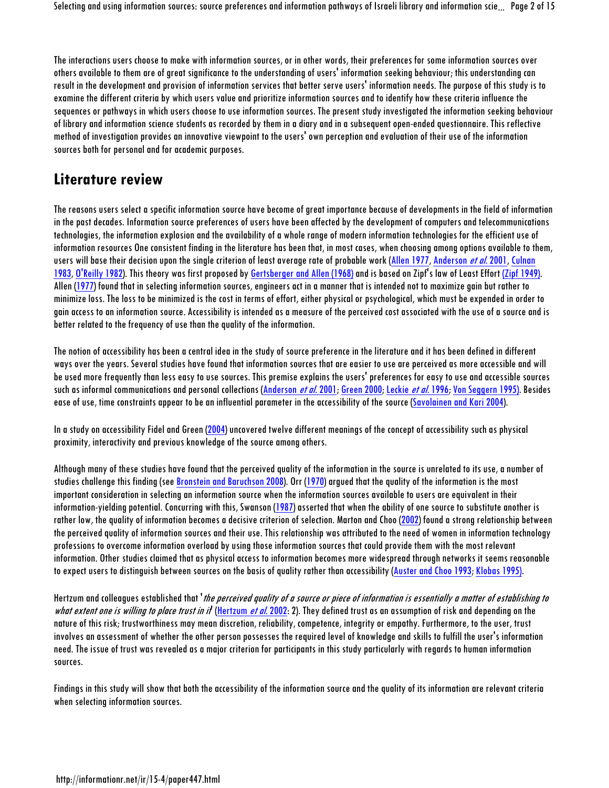The interactions users choose to make with information sources, or in other words, their preferences for some information sources over others available to them are of great significance to the understanding of users' information seeking behaviour; this understanding can result in the development and provision of information services that better serve users' information needs. The purpose of this study is to examine the different criteria by which users value and prioritize information sources and to identify how these criteria influence the sequences or pathways in which users choose to use information sources. The present study investigated the information seeking behaviour of library and information science students as recorded by them in a diary and in a subsequent open-ended questionnaire. This reflective method of investigation provides an innovative viewpoint to the users' own perception and evaluation of their use of the information sources both for personal and for academic purposes.

## **Literature review**

The reasons users select a specific information source have become of great importance because of developments in the field of information in the past decades. Information source preferences of users have been affected by the development of computers and telecommunications technologies, the information explosion and the availability of a whole range of modern information technologies for the efficient use of information resources One consistent finding in the literature has been that, in most cases, when choosing among options available to them, users will base their decision upon the single criterion of least average rate of probable work (Allen 1977, Anderson *et al.* 2001, Culnan 1983, O'Reilly 1982). This theory was first proposed by Gertsberger and Allen (1968) and is based on Zipf's law of Least Effort (Zipf 1949). Allen (1977) found that in selecting information sources, engineers act in a manner that is intended not to maximize gain but rather to minimize loss. The loss to be minimized is the cost in terms of effort, either physical or psychological, which must be expended in order to gain access to an information source. Accessibility is intended as a measure of the perceived cost associated with the use of a source and is better related to the frequency of use than the quality of the information.

The notion of accessibility has been a central idea in the study of source preference in the literature and it has been defined in different ways over the years. Several studies have found that information sources that are easier to use are perceived as more accessible and will be used more frequently than less easy to use sources. This premise explains the users' preferences for easy to use and accessible sources such as informal communications and personal collections (Anderson et al. 2001; Green 2000; Leckie et al. 1996; Von Seggern 1995). Besides ease of use, time constraints appear to be an influential parameter in the accessibility of the source (Savolainen and Kari 2004).

In a study on accessibility Fidel and Green (2004) uncovered twelve different meanings of the concept of accessibility such as physical proximity, interactivity and previous knowledge of the source among others.

Although many of these studies have found that the perceived quality of the information in the source is unrelated to its use, a number of studies challenge this finding (see Bronstein and Baruchson 2008). Orr (1970) argued that the quality of the information is the most important consideration in selecting an information source when the information sources available to users are equivalent in their information-yielding potential. Concurring with this, Swanson (1987) asserted that when the ability of one source to substitute another is rather low, the quality of information becomes a decisive criterion of selection. Marton and Choo (2002) found a strong relationship between the perceived quality of information sources and their use. This relationship was attributed to the need of women in information technology professions to overcome information overload by using those information sources that could provide them with the most relevant information. Other studies claimed that as physical access to information becomes more widespread through networks it seems reasonable to expect users to distinguish between sources on the basis of quality rather than accessibility (Auster and Choo 1993; Klobas 1995).

Hertzum and colleagues established that *the perceived quality of a source or piece of information is essentially a matter of establishing to* what extent one is willing to place trust in it (Hertzum et al. 2002: 2). They defined trust as an assumption of risk and depending on the nature of this risk; trustworthiness may mean discretion, reliability, competence, integrity or empathy. Furthermore, to the user, trust involves an assessment of whether the other person possesses the required level of knowledge and skills to fulfill the user's information need. The issue of trust was revealed as a major criterion for participants in this study particularly with regards to human information sources.

Findings in this study will show that both the accessibility of the information source and the quality of its information are relevant criteria when selecting information sources.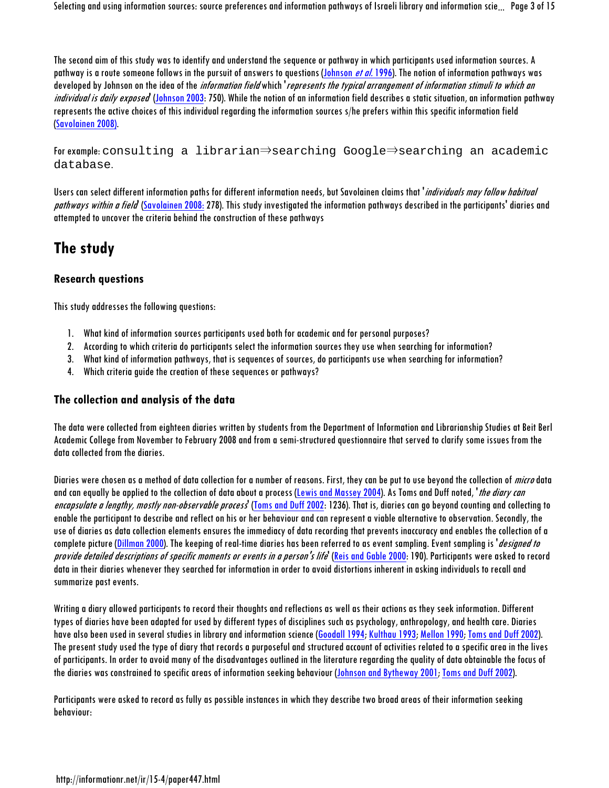Selecting and using information sources: source preferences and information pathways of Israeli library and information scie... Page 3of 15

The second aim of this study was to identify and understand the sequence or pathway in which participants used information sources. A pathway is a route someone follows in the pursuit of answers to questions (Johnson *et al.* 1996). The notion of information pathways was developed by Johnson on the idea of the *information field* which *represents the typical arrangement of information stimuli to which an* individual is daily exposed (Johnson 2003: 750). While the notion of an information field describes a static situation, an information pathway represents the active choices of this individual regarding the information sources s/he prefers within this specific information field (Savolainen 2008).

For example: consulting a librarian⇒searching Google⇒searching an academic database.

Users can select different information paths for different information needs, but Savolainen claims that *'individuals may follow habitual* pathways within a field (Savolainen 2008: 278). This study investigated the information pathways described in the participants' diaries and attempted to uncover the criteria behind the construction of these pathways

## **The study**

## **Research questions**

This study addresses the following questions:

- 1. What kind of information sources participants used both for academic and for personal purposes?
- 2. According to which criteria do participants select the information sources they use when searching for information?
- 3. What kind of information pathways, that is sequences of sources, do participants use when searching for information?
- 4. Which criteria guide the creation of these sequences or pathways?

## **The collection and analysis of the data**

The data were collected from eighteen diaries written by students from the Department of Information and Librarianship Studies at Beit Berl Academic College from November to February 2008 and from a semi-structured questionnaire that served to clarify some issues from the data collected from the diaries.

Diaries were chosen as a method of data collection for a number of reasons. First, they can be put to use beyond the collection of *micro* data and can equally be applied to the collection of data about a process (Lewis and Massey 2004). As Toms and Duff noted, *the diary can* encapsulate a lengthy, mostly non-observable process<sup>'</sup> (Toms and Duff 2002: 1236). That is, diaries can go beyond counting and collecting to enable the participant to describe and reflect on his or her behaviour and can represent a viable alternative to observation. Secondly, the use of diaries as data collection elements ensures the immediacy of data recording that prevents inaccuracy and enables the collection of a complete picture (Dillman 2000). The keeping of real-time diaries has been referred to as event sampling. Event sampling is '*designed to* provide detailed descriptions of specific moments or events in a person's life' (Reis and Gable 2000: 190). Participants were asked to record data in their diaries whenever they searched for information in order to avoid distortions inherent in asking individuals to recall and summarize past events.

Writing a diary allowed participants to record their thoughts and reflections as well as their actions as they seek information. Different types of diaries have been adapted for used by different types of disciplines such as psychology, anthropology, and health care. Diaries have also been used in several studies in library and information science (Goodall 1994; Kulthau 1993; Mellon 1990; Toms and Duff 2002). The present study used the type of diary that records a purposeful and structured account of activities related to a specific area in the lives of participants. In order to avoid many of the disadvantages outlined in the literature regarding the quality of data obtainable the focus of the diaries was constrained to specific areas of information seeking behaviour (Johnson and Bytheway 2001; Toms and Duff 2002).

Participants were asked to record as fully as possible instances in which they describe two broad areas of their information seeking behaviour: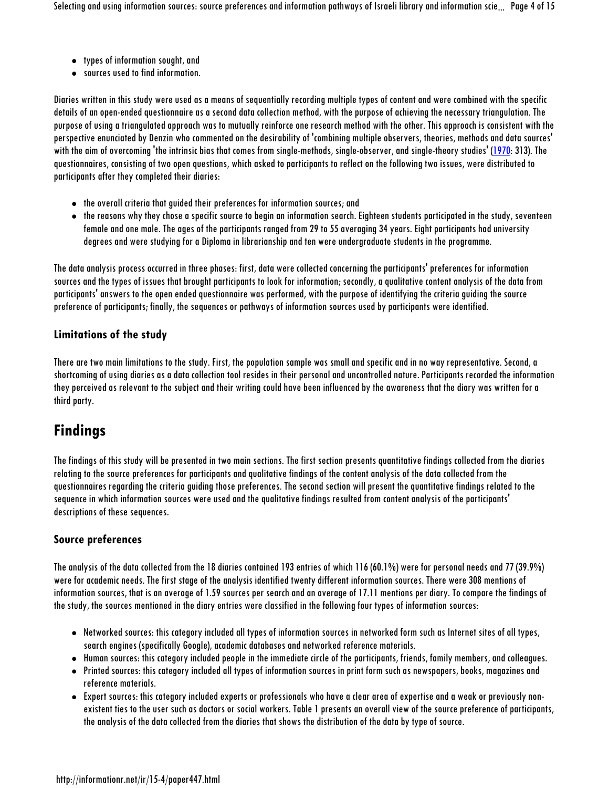- types of information sought, and
- sources used to find information.

Diaries written in this study were used as a means of sequentially recording multiple types of content and were combined with the specific details of an open-ended questionnaire as a second data collection method, with the purpose of achieving the necessary triangulation. The purpose of using a triangulated approach was to mutually reinforce one research method with the other. This approach is consistent with the perspective enunciated by Denzin who commented on the desirability of 'combining multiple observers, theories, methods and data sources' with the aim of overcoming 'the intrinsic bias that comes from single-methods, single-observer, and single-theory studies' (1970: 313). The questionnaires, consisting of two open questions, which asked to participants to reflect on the following two issues, were distributed to participants after they completed their diaries:

- the overall criteria that guided their preferences for information sources; and
- the reasons why they chose a specific source to begin an information search. Eighteen students participated in the study, seventeen female and one male. The ages of the participants ranged from 29 to 55 averaging 34 years. Eight participants had university degrees and were studying for a Diploma in librarianship and ten were undergraduate students in the programme.

The data analysis process occurred in three phases: first, data were collected concerning the participants' preferences for information sources and the types of issues that brought participants to look for information; secondly, a qualitative content analysis of the data from participants' answers to the open ended questionnaire was performed, with the purpose of identifying the criteria guiding the source preference of participants; finally, the sequences or pathways of information sources used by participants were identified.

### **Limitations of the study**

There are two main limitations to the study. First, the population sample was small and specific and in no way representative. Second, a shortcoming of using diaries as a data collection tool resides in their personal and uncontrolled nature. Participants recorded the information they perceived as relevant to the subject and their writing could have been influenced by the awareness that the diary was written for a third party.

## **Findings**

The findings of this study will be presented in two main sections. The first section presents quantitative findings collected from the diaries relating to the source preferences for participants and qualitative findings of the content analysis of the data collected from the questionnaires regarding the criteria guiding those preferences. The second section will present the quantitative findings related to the sequence in which information sources were used and the qualitative findings resulted from content analysis of the participants' descriptions of these sequences.

## **Source preferences**

The analysis of the data collected from the 18 diaries contained 193 entries of which 116 (60.1%) were for personal needs and 77 (39.9%) were for academic needs. The first stage of the analysis identified twenty different information sources. There were 308 mentions of information sources, that is an average of 1.59 sources per search and an average of 17.11 mentions per diary. To compare the findings of the study, the sources mentioned in the diary entries were classified in the following four types of information sources:

- Networked sources: this category included all types of information sources in networked form such as Internet sites of all types, search engines (specifically Google), academic databases and networked reference materials.
- Human sources: this category included people in the immediate circle of the participants, friends, family members, and colleagues.
- Printed sources: this category included all types of information sources in print form such as newspapers, books, magazines and reference materials.
- Expert sources: this category included experts or professionals who have a clear area of expertise and a weak or previously nonexistent ties to the user such as doctors or social workers. Table 1 presents an overall view of the source preference of participants, the analysis of the data collected from the diaries that shows the distribution of the data by type of source.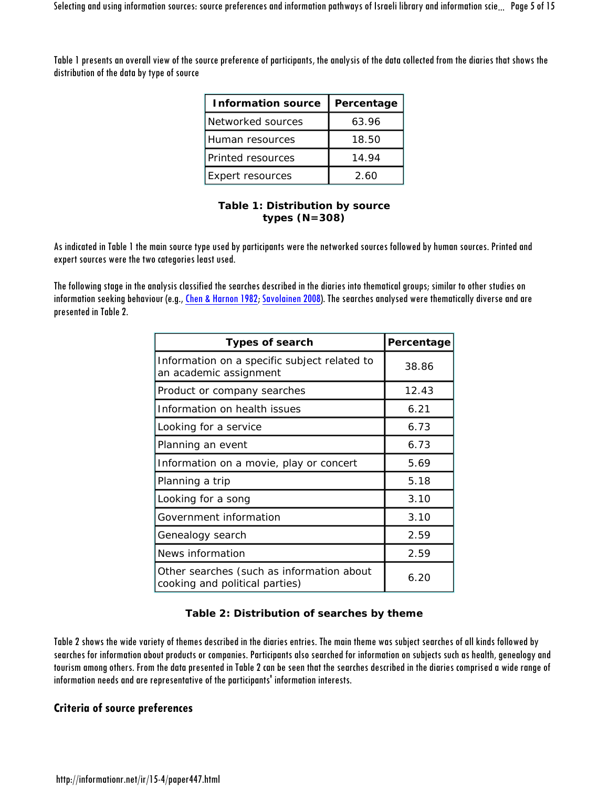Table 1 presents an overall view of the source preference of participants, the analysis of the data collected from the diaries that shows the distribution of the data by type of source

| <b>Information source</b> | Percentage |
|---------------------------|------------|
| Networked sources         | 63.96      |
| Human resources           | 18.50      |
| Printed resources         | 14.94      |
| Expert resources          | 2.60       |

#### **Table 1: Distribution by source types (N=308)**

As indicated in Table 1 the main source type used by participants were the networked sources followed by human sources. Printed and expert sources were the two categories least used.

The following stage in the analysis classified the searches described in the diaries into thematical groups; similar to other studies on information seeking behaviour (e.g., Chen & Harnon 1982; Savolainen 2008). The searches analysed were thematically diverse and are presented in Table 2.

| <b>Types of search</b>                                                      | Percentage |
|-----------------------------------------------------------------------------|------------|
| Information on a specific subject related to<br>an academic assignment      | 38.86      |
| Product or company searches                                                 | 12.43      |
| Information on health issues                                                | 6.21       |
| Looking for a service                                                       | 6.73       |
| Planning an event                                                           | 6.73       |
| Information on a movie, play or concert                                     | 5.69       |
| Planning a trip                                                             | 5.18       |
| Looking for a song                                                          | 3.10       |
| Government information                                                      | 3.10       |
| Genealogy search                                                            | 2.59       |
| News information                                                            | 2.59       |
| Other searches (such as information about<br>cooking and political parties) | 6.20       |

### **Table 2: Distribution of searches by theme**

Table 2 shows the wide variety of themes described in the diaries entries. The main theme was subject searches of all kinds followed by searches for information about products or companies. Participants also searched for information on subjects such as health, genealogy and tourism among others. From the data presented in Table 2 can be seen that the searches described in the diaries comprised a wide range of information needs and are representative of the participants' information interests.

## **Criteria of source preferences**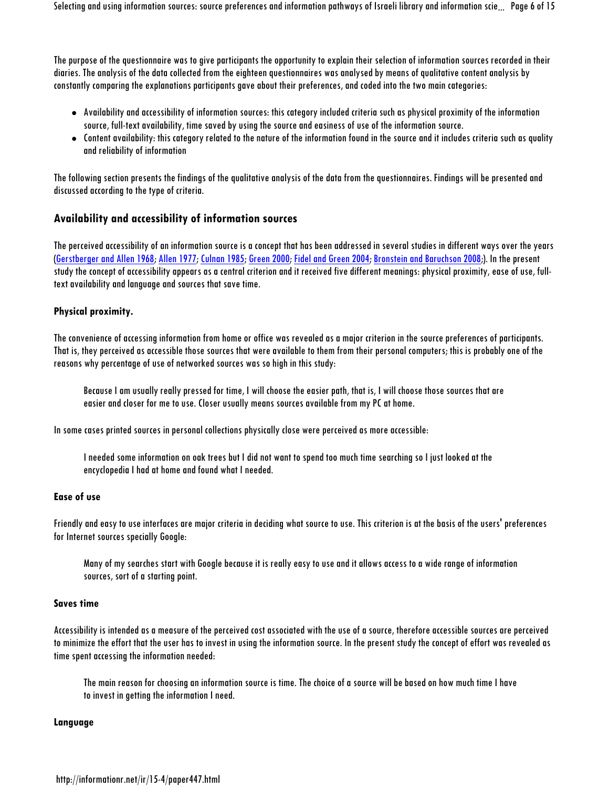The purpose of the questionnaire was to give participants the opportunity to explain their selection of information sources recorded in their diaries. The analysis of the data collected from the eighteen questionnaires was analysed by means of qualitative content analysis by constantly comparing the explanations participants gave about their preferences, and coded into the two main categories:

- Availability and accessibility of information sources: this category included criteria such as physical proximity of the information source, full-text availability, time saved by using the source and easiness of use of the information source.
- Content availability: this category related to the nature of the information found in the source and it includes criteriasuch as quality and reliability of information

The following section presents the findings of the qualitative analysis of the data from the questionnaires. Findings will be presented and discussed according to the type of criteria.

### **Availability and accessibility of information sources**

The perceived accessibility of an information source is a concept that has been addressed in several studies in different ways over the years (Gerstberger and Allen 1968; Allen 1977; Culnan 1985; Green 2000; Fidel and Green 2004; Bronstein and Baruchson 2008;). In the present study the concept of accessibility appears as a central criterion and it received five different meanings: physical proximity, ease of use, fulltext availability and language and sources that save time.

#### **Physical proximity.**

The convenience of accessing information from home or office was revealed as a major criterion in the source preferences of participants. That is, they perceived as accessible those sources that were available to them from their personal computers; this is probably one of the reasons why percentage of use of networked sources was so high in this study:

Because I am usually really pressed for time, I will choose the easier path, that is, I will choose those sources that are easier and closer for me to use. Closer usually means sources available from my PC at home.

In some cases printed sources in personal collections physically close were perceived as more accessible:

I needed some information on oak trees but I did not want to spend too much time searching so I just looked at the encyclopedia I had at home and found what I needed.

#### **Ease of use**

Friendly and easy to use interfaces are major criteria in deciding what source to use. This criterion is at the basis of the users' preferences for Internet sources specially Google:

Many of my searches start with Google because it is really easy to use and it allows access to a wide range of information sources, sort of a starting point.

#### **Saves time**

Accessibility is intended as a measure of the perceived cost associated with the use of a source, therefore accessible sources are perceived to minimize the effort that the user has to invest in using the information source. In the present study the concept of effort was revealed as time spent accessing the information needed:

The main reason for choosing an information source is time. The choice of a source will be based on how much time I have to invest in getting the information I need.

#### **Language**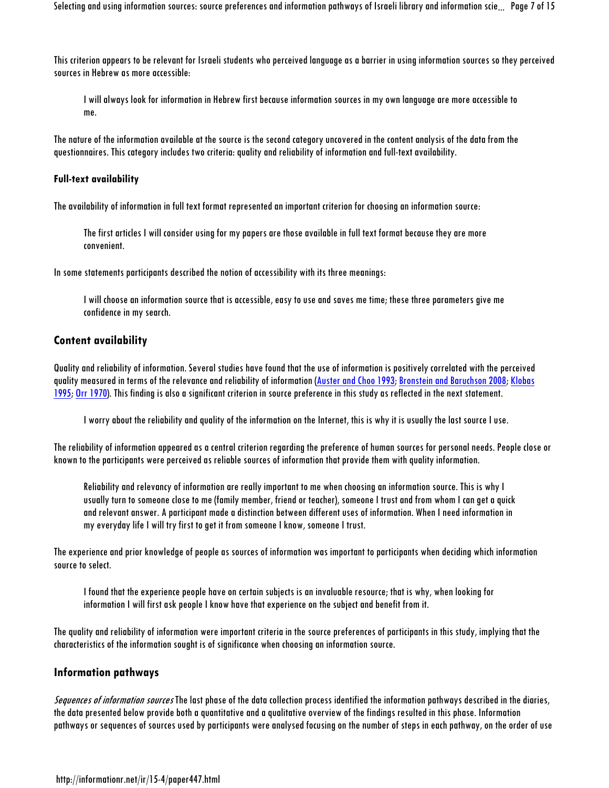This criterion appears to be relevant for Israeli students who perceived language as a barrier in using information sources so they perceived sources in Hebrew as more accessible:

I will always look for information in Hebrew first because information sources in my own language are more accessible to me.

The nature of the information available at the source is the second category uncovered in the content analysis of the data from the questionnaires. This category includes two criteria: quality and reliability of information and full-text availability.

#### **Full-text availability**

The availability of information in full text format represented an important criterion for choosing an information source:

The first articles I will consider using for my papers are those available in full text format because they are more convenient.

In some statements participants described the notion of accessibility with its three meanings:

I will choose an information source that is accessible, easy to use and saves me time; these three parameters give me confidence in my search.

#### **Content availability**

Quality and reliability of information. Several studies have found that the use of information is positively correlated with the perceived quality measured in terms of the relevance and reliability of information (Auster and Choo 1993; Bronstein and Baruchson 2008; Klobas 1995; Orr 1970). This finding is also a significant criterion in source preference in this study as reflected in the next statement.

I worry about the reliability and quality of the information on the Internet, this is why it is usually the last source I use.

The reliability of information appeared as a central criterion regarding the preference of human sources for personal needs. People close or known to the participants were perceived as reliable sources of information that provide them with quality information.

Reliability and relevancy of information are really important to me when choosing an information source. This is why I usually turn to someone close to me (family member, friend or teacher), someone I trust and from whom I can get a quick and relevant answer. A participant made a distinction between different uses of information. When I need information in my everyday life I will try first to get it from someone I know, someone I trust.

The experience and prior knowledge of people as sources of information was important to participants when deciding which information source to select.

I found that the experience people have on certain subjects is an invaluable resource; that is why, when looking for information I will first ask people I know have that experience on the subject and benefit from it.

The quality and reliability of information were important criteria in the source preferences of participants in this study, implying that the characteristics of the information sought is of significance when choosing an information source.

#### **Information pathways**

Sequences of information sources The last phase of the data collection process identified the information pathways described in the diaries, the data presented below provide both a quantitative and a qualitative overview of the findings resulted in this phase. Information pathways or sequences of sources used by participants were analysed focusing on the number of steps in each pathway, on the order of use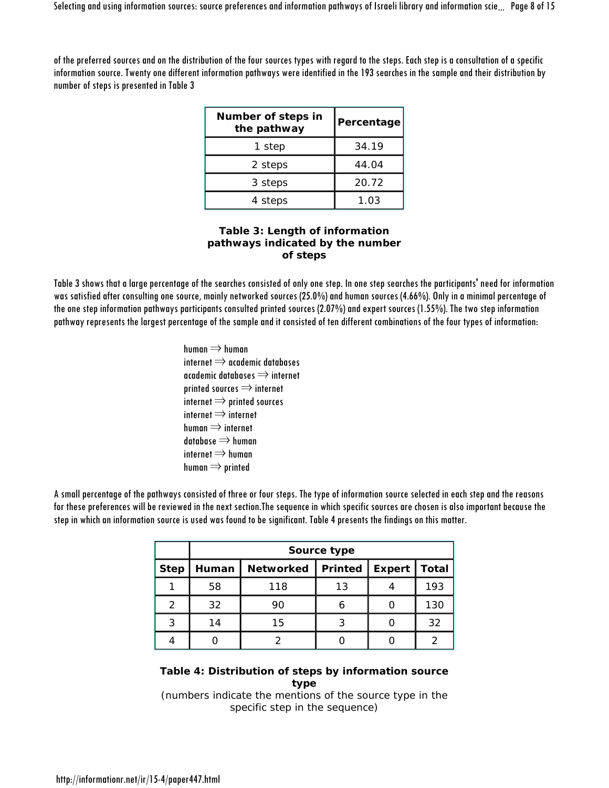of the preferred sources and on the distribution of the four sources types with regard to the steps. Each step is a consultation of a specific information source. Twenty one different information pathways were identified in the 193 searches in the sample and their distribution by number of steps is presented in Table 3

| Number of steps in<br>the pathway | Percentage |
|-----------------------------------|------------|
| 1 step                            | 34.19      |
| 2 steps                           | 44.04      |
| 3 steps                           | 20.72      |
| 4 steps                           | 1.03       |

#### **Table 3: Length of information pathways indicated by the number of steps**

Table 3 shows that a large percentage of the searches consisted of only one step. In one step searches the participants' need for information was satisfied after consulting one source, mainly networked sources (25.0%) and human sources (4.66%). Only in a minimal percentage of the one step information pathways participants consulted printed sources (2.07%) and expert sources (1.55%). The two step information pathway represents the largest percentage of the sample and it consisted of ten different combinations of the four types of information:

> human  $\Rightarrow$  human  $\mathsf{internet} \Longrightarrow$  academic databases academic databases ⇒ internet printed sources ⇒ internet internet  $\Rightarrow$  printed sources internet  $\Rightarrow$  internet human  $\Rightarrow$  internet database  $\Rightarrow$  human internet  $\Rightarrow$  human human  $\Rightarrow$  printed

A small percentage of the pathways consisted of three or four steps. The type of information source selected in each step and the reasons for these preferences will be reviewed in the next section.The sequence in which specific sources are chosen is also important because the step in which an information source is used was found to be significant. Table 4 presents the findings on this matter.

|             | Source type |                     |    |        |              |
|-------------|-------------|---------------------|----|--------|--------------|
| <b>Step</b> | Human       | Networked   Printed |    | Expert | <b>Total</b> |
|             | 58          | 118                 | 13 |        | 193          |
| 2           | 32          | 90                  | 6  |        | 130          |
| 3           | 14          | 15                  | ς  |        | 32           |
|             |             |                     |    |        |              |

### **Table 4: Distribution of steps by information source type**

(numbers indicate the mentions of the source type in the specific step in the sequence)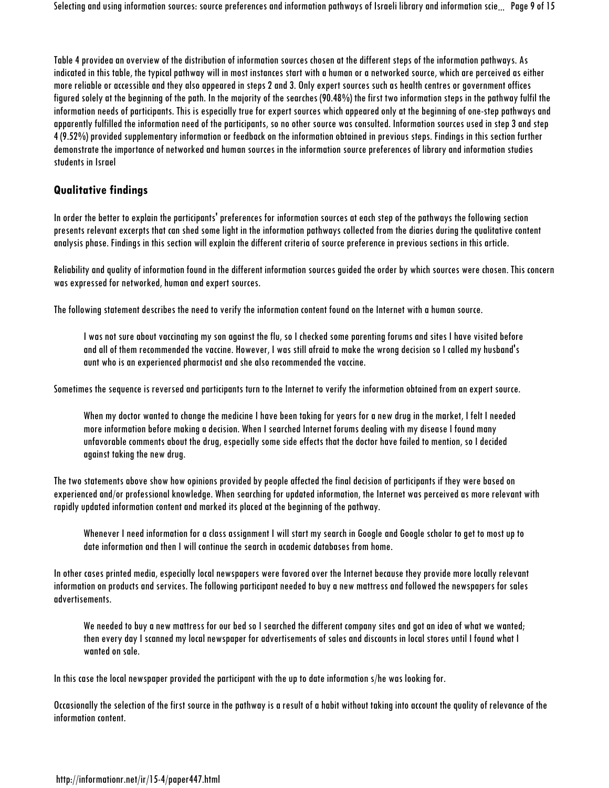Table 4 providea an overview of the distribution of information sources chosen at thedifferent steps of the information pathways. As indicated in this table, the typical pathway will in most instances start with a human or a networked source, which are perceived as either more reliable or accessible and they also appeared in steps 2 and 3. Only expert sources such as health centres or government offices figured solely at the beginning of the path. In the majority of the searches (90.48%) the first two information steps in the pathway fulfil the information needs of participants. This is especially true for expert sources which appeared only at the beginning of one-step pathways and apparently fulfilled the information need of the participants, so no other source was consulted. Information sources used in step 3 and step 4 (9.52%) provided supplementary information or feedback on the information obtained in previous steps. Findings in this section further demonstrate the importance of networked and human sources in the information source preferences of library and information studies students in Israel

### **Qualitative findings**

In order the better to explain the participants' preferences for information sources at each step of the pathways the following section presents relevant excerpts that can shed some light in the information pathways collected from the diaries during the qualitative content analysis phase. Findings in this section will explain the different criteria of source preference in previous sections in this article.

Reliability and quality of information found in the different information sources guided the order by which sources were chosen. This concern was expressed for networked, human and expert sources.

The following statement describes the need to verify the information content found on the Internet with a human source.

I was not sure about vaccinating my son against the flu, so I checked some parenting forums and sites I have visited before and all of them recommended the vaccine. However, I was still afraid to make the wrong decision so I called my husband's aunt who is an experienced pharmacist and she also recommended the vaccine.

Sometimes the sequence is reversed and participants turn to the Internet to verify the information obtained from an expert source.

When my doctor wanted to change the medicine I have been taking for years for a new drug in the market, I felt I needed more information before making a decision. When I searched Internet forums dealing with my disease I found many unfavorable comments about the drug, especially some side effects that the doctor have failed to mention, so I decided against taking the new drug.

The two statements above show how opinions provided by people affected the final decision of participants if they were based on experienced and/or professional knowledge. When searching for updated information, the Internet was perceived as more relevant with rapidly updated information content and marked its placed at the beginning of the pathway.

Whenever I need information for a class assignment I will start my search in Google and Google scholar to get to most up to date information and then I will continue the search in academic databases from home.

In other cases printed media, especially local newspapers were favored over the Internet because they provide more locally relevant information on products and services. The following participant needed to buy a new mattress and followed the newspapers for sales advertisements.

We needed to buy a new mattress for our bed so I searched the different company sites and got an idea of what we wanted; then every day I scanned my local newspaper for advertisements of sales and discounts in local stores until I found what I wanted on sale.

In this case the local newspaper provided the participant with the up to date information s/he was looking for.

Occasionally the selection of the first source in the pathway is a result of a habit without taking into account the quality of relevance of the information content.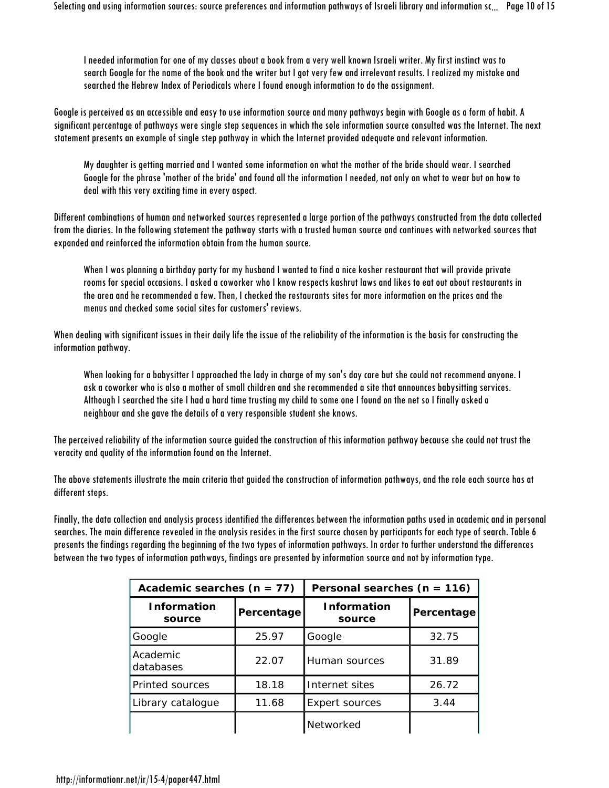I needed information for one of my classes about a book from a very well known Israeli writer. My first instinct was to search Google for the name of the book and the writer but I got very few and irrelevant results. I realized my mistake and searched the Hebrew Index of Periodicals where I found enough information to do the assignment.

Google is perceived as an accessible and easy to use information source and many pathways begin with Google as a form of habit. A significant percentage of pathways were single step sequences in which the sole information source consulted was the Internet. The next statement presents an example of single step pathway in which the Internet provided adequate and relevant information.

My daughter is getting married and I wanted some information on what the mother of the bride should wear. I searched Google for the phrase 'mother of the bride' and found all the information I needed, not only on what to wear but on how to deal with this very exciting time in every aspect.

Different combinations of human and networked sources represented a large portion of the pathways constructed from the data collected from the diaries. In the following statement the pathway starts with a trusted human source and continues with networked sources that expanded and reinforced the information obtain from the human source.

When I was planning a birthday party for my husband I wanted to find a nice kosher restaurant that will provide private rooms for special occasions. I asked a coworker who I know respects kashrut laws and likes to eat out about restaurants in the area and he recommended a few. Then, I checked the restaurants sites for more information on the prices and the menus and checked some social sites for customers' reviews.

When dealing with significant issues in their daily life the issue of the reliability of the information is the basis for constructing the information pathway.

When looking for a babysitter I approached the lady in charge of my son's day care but she could not recommend anyone. I ask a coworker who is also a mother of small children and she recommended a site that announces babysitting services. Although I searched the site I had a hard time trusting my child to some one I found on the net so I finally asked a neighbour and she gave the details of a very responsible student she knows.

The perceived reliability of the information source guided the construction of this information pathway because she could not trust the veracity and quality of the information found on the Internet.

The above statements illustrate the main criteria that guided the construction of information pathways, and the role each source has at different steps.

Finally, the data collection and analysis process identified the differences between the information paths used in academic and in personal searches. The main difference revealed in the analysis resides in the first source chosen by participants for each type of search. Table 6 presents the findings regarding the beginning of the two types of information pathways. In order to further understand the differences between the two types of information pathways, findings are presented by information source and not by information type.

| Academic searches $(n = 77)$ |            | Personal searches $(n = 116)$ |            |  |
|------------------------------|------------|-------------------------------|------------|--|
| <b>Information</b><br>source | Percentage | <b>Information</b><br>source  | Percentage |  |
| Google                       | 25.97      | Google                        | 32.75      |  |
| Academic<br>databases        | 22.07      | Human sources                 | 31.89      |  |
| Printed sources              | 18.18      | Internet sites                | 26.72      |  |
| Library catalogue            | 11.68      | <b>Expert sources</b>         | 3.44       |  |
|                              |            | Networked                     |            |  |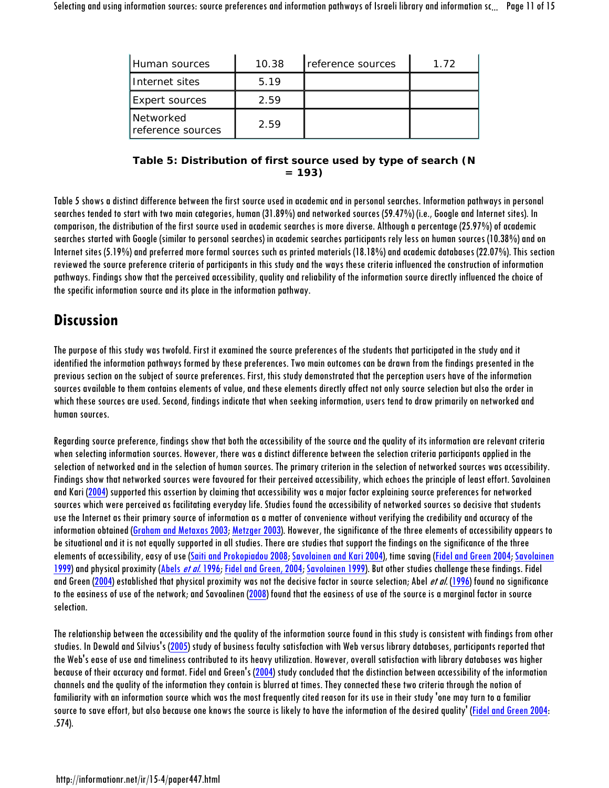| Human sources                    | 10.38 | reference sources | 1.72 |
|----------------------------------|-------|-------------------|------|
| I Internet sites                 | 5.19  |                   |      |
| <b>Expert sources</b>            | 2.59  |                   |      |
| l Networked<br>reference sources | 2.59  |                   |      |

### **Table 5: Distribution of first source used by type of search (N = 193)**

Table 5 shows a distinct difference between the first source used in academic and in personal searches. Information pathways in personal searches tended to start with two main categories, human (31.89%) and networked sources (59.47%) (i.e., Google and Internet sites). In comparison, the distribution of the first source used in academic searches is more diverse. Although a percentage (25.97%) of academic searches started with Google (similar to personal searches) in academic searches participants rely less on human sources (10.38%) and on Internet sites (5.19%) and preferred more formal sources such as printed materials (18.18%) and academic databases (22.07%). This section reviewed the source preference criteria of participants in this study and the ways these criteria influenced the construction of information pathways. Findings show that the perceived accessibility, quality and reliability of the information source directly influenced the choice of the specific information source and its place in the information pathway.

## **Discussion**

The purpose of this study was twofold. First it examined the source preferences of the students that participated in the study and it identified the information pathways formed by these preferences. Two main outcomes can be drawn from the findings presented in the previous section on the subject of source preferences. First, this study demonstrated that the perception users have of the information sources available to them contains elements of value, and these elements directly affect not only source selection but also the order in which these sources are used. Second, findings indicate that when seeking information, users tend to draw primarily on networked and human sources.

Regarding source preference, findings show that both the accessibility of the source and the quality of its information are relevant criteria when selecting information sources. However, there was a distinct difference between the selection criteria participants applied in the selection of networked and in the selection of human sources. The primary criterion in the selection of networked sources was accessibility. Findings show that networked sources were favoured for their perceived accessibility, which echoes the principle of least effort. Savolainen and Kari (2004) supported this assertion by claiming that accessibility was a major factor explaining source preferences for networked sources which were perceived as facilitating everyday life. Studies found the accessibility of networked sources so decisive that students use the Internet as their primary source of information as a matter of convenience without verifying the credibility and accuracy of the information obtained (Graham and Metaxas 2003; Metzger 2003). However, the significance of the three elements of accessibility appears to be situational and it is not equally supported in all studies. There are studies that support the findings on the significance of the three elements of accessibility, easy of use (Saiti and Prokopiadou 2008; Savolainen and Kari 2004), time saving (Fidel and Green 2004; Savolainen 1999) and physical proximity (Abels et al. 1996; Fidel and Green, 2004; Savolainen 1999). But other studies challenge these findings. Fidel and Green (2004) established that physical proximity was not the decisive factor in source selection; Abel *et al.* (1996) found no significance to the easiness of use of the network; and Savoalinen (2008) found that the easiness of use of the source is a marginal factor in source selection.

The relationship between the accessibility and the quality of the information sourcefound in this study is consistent with findings from other studies. In Dewald and Silvius's (2005) study of business faculty satisfaction with Web versus library databases, participants reported that the Web's ease of use and timeliness contributed to its heavy utilization. However, overall satisfaction with library databases was higher because of their accuracy and format. Fidel and Green's (2004) study concluded that the distinction between accessibility of the information channels and the quality of the information they contain is blurred at times. They connected these two criteria through the notion of familiarity with an information source which was the most frequently cited reason for its use in their study 'one may turn to a familiar source to save effort, but also because one knows the source is likely to have the information of the desired quality' (Fidel and Green 2004: .574).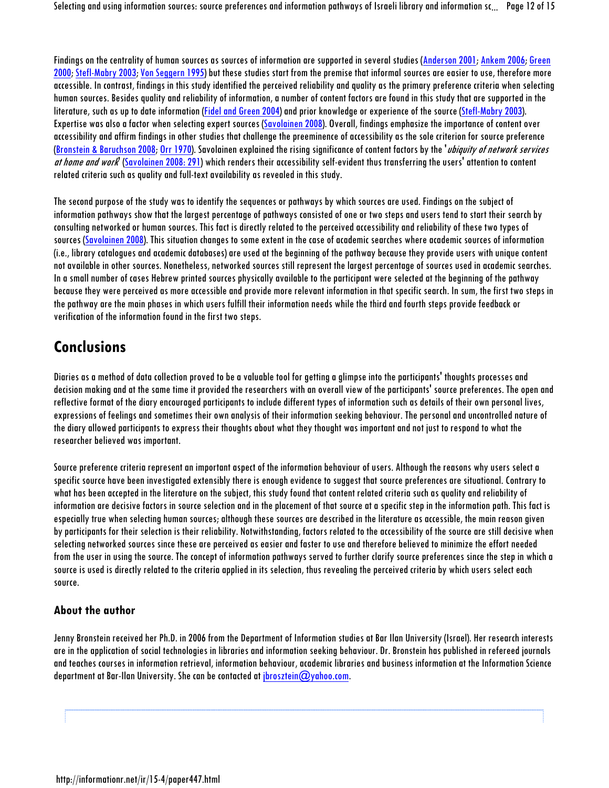Findings on the centrality of human sources as sources of information are supported in several studies (Anderson 2001; Ankem 2006; Green 2000; Stefl-Mabry 2003; Von Seggern 1995) but these studies start from the premise that informal sources are easier to use, therefore more accessible. In contrast, findings in this study identified the perceived reliability and quality as the primary preference criteria when selecting human sources. Besides quality and reliability of information, a number of content factors are found in this study that are supported in the literature, such as up to date information (Fidel and Green 2004) and prior knowledge or experience of the source (Stefl-Mabry 2003). Expertise was also a factor when selecting expert sources (Savolainen 2008). Overall, findings emphasize the importance of content over accessibility and affirm findings in other studies that challenge the preeminence of accessibility as the sole criterion for source preference (Bronstein & Baruchson 2008; Orr 1970). Savolainen explained the rising significance of content factors by the *ubiquity of network services* at home and work (Savolainen 2008: 291) which renders their accessibility self-evident thus transferring the users' attention to content related criteria such as quality and full-text availability as revealed in this study.

The second purpose of the study was to identify the sequences or pathways by which sources are used. Findings on the subject of information pathways show that the largest percentage of pathways consisted of one or two steps and users tend to start their search by consulting networked or human sources. This fact is directly related to the perceived accessibility and reliability of these two types of sources (Savolainen 2008). This situation changes to some extent in the case of academic searches where academic sources of information (i.e., library catalogues and academic databases) are used at the beginning of the pathway because they provide users with unique content not available in other sources. Nonetheless, networked sources still represent the largest percentage of sources used in academic searches. In a small number of cases Hebrew printed sources physically available to the participant were selected at the beginning of the pathway because they were perceived as more accessible and provide more relevant information in that specific search. In sum, the first two steps in the pathway are the main phases in which users fulfill their information needs while the third and fourth steps provide feedback or verification of the information found in the first two steps.

## **Conclusions**

Diaries as a method of data collection proved to be a valuable tool for getting a glimpse into the participants' thoughts processes and decision making and at the same time it provided the researchers with an overall view of the participants' source preferences. The open and reflective format of the diary encouraged participants to include different types of information such as details of their own personal lives, expressions of feelings and sometimes their own analysis of their information seeking behaviour. The personal and uncontrolled nature of the diary allowed participants to express their thoughts about what they thought was important and not just to respond to what the researcher believed was important.

Source preference criteria represent an important aspect of the information behaviour of users. Although the reasons why users select a specific source have been investigated extensibly there is enough evidence to suggest that source preferences are situational. Contrary to what has been accepted in the literature on the subject, this study found that content related criteria such as quality and reliability of information are decisive factors in source selection and in the placement of that source at a specific step in the information path. This fact is especially true when selecting human sources; although these sources are described in the literature as accessible, the main reason given by participants for their selection is their reliability. Notwithstanding, factors related to the accessibility of the source are stilldecisive when selecting networked sources since these are perceived as easier and faster to use and therefore believed to minimize the effort needed from the user in using the source. The concept of information pathways served to further clarify source preferences since the step in which a source is used is directly related to the criteria applied in its selection, thus revealing the perceived criteria by which users select each source.

## **About the author**

Jenny Bronstein received her Ph.D. in 2006 from the Department of Information studies at Bar Ilan University (Israel). Her research interests are in the application of social technologies in libraries and information seeking behaviour. Dr. Bronstein has published in refereed journals and teaches courses in information retrieval, information behaviour, academic libraries and business information at the Information Science department at Bar-Ilan University. She can be contacted at  $\frac{1}{10}$  brosztein $\mathcal{O}$  yahoo.com.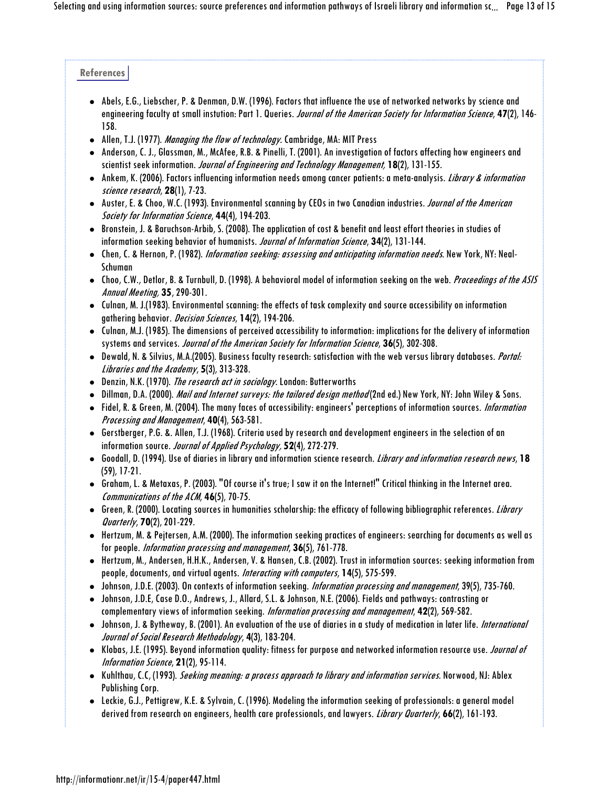#### **References**

- Abels, E.G., Liebscher, P. & Denman, D.W. (1996). Factors that influence the use of networked networks by science and engineering faculty at small instution: Part 1. Queries. Journal of the American Society for Information Science, **47**(2), 146- 158.
- Allen, T.J. (1977). *Managing the flow of technology*. Cambridge, MA: MIT Press
- Anderson, C. J., Glassman, M., McAfee, R.B. & Pinelli, T. (2001). An investigation of factors affecting how engineers and scientist seek information. Journal of Engineering and Technology Management, **18**(2), 131-155.
- Ankem, K. (2006). Factors influencing information needs among cancer patients: a meta-analysis. Library & information science research, **28**(1), 7-23.
- Auster, E. & Choo, W.C. (1993). Environmental scanning by CEOs in two Canadian industries. *Journal of the American* Society for Information Science, **44**(4), 194-203.
- Bronstein, J. & Baruchson-Arbib, S. (2008). The application of cost & benefit and least effort theories in studies of information seeking behavior of humanists. Journal of Information Science, **34**(2), 131-144.
- Chen, C. & Hernon, P. (1982). Information seeking: assessing and anticipating information needs. New York, NY: Neal-Schuman
- Choo, C.W., Detlor, B. & Turnbull, D. (1998). A behavioral model of information seeking on the web. Proceedings of the ASIS Annual Meeting, **35**, 290-301.
- Culnan, M. J.(1983). Environmental scanning: the effects of task complexity and source accessibility on information gathering behavior. Decision Sciences, **14**(2), 194-206.
- Culnan, M.J. (1985). The dimensions of perceived accessibility to information: implications for the delivery of information systems and services. Journal of the American Society for Information Science, **36**(5), 302-308.
- Dewald, N. & Silvius, M.A.(2005). Business faculty research: satisfaction with the web versus library databases. Portal: Libraries and the Academy, **5**(3), 313-328.
- Denzin, N.K. (1970). The research act in sociology. London: Butterworths
- Dillman, D.A. (2000). *Mail and Internet surveys: the tailored design method* (2nd ed.) New York, NY: John Wiley & Sons.
- Fidel, R. & Green, M. (2004). The many faces of accessibility: engineers' perceptions of information sources. Information Processing and Management, **40**(4), 563-581.
- Gerstberger, P.G. &. Allen, T.J. (1968). Criteria used by research and development engineers in the selection of an information source. Journal of Applied Psychology, **52**(4), 272-279.
- Goodall, D. (1994). Use of diaries in library and information science research. Library and information research news, **18** (59), 17-21.
- Graham, L. & Metaxas, P. (2003). "Of course it's true; I saw it on the Internet!" Critical thinking in the Internet area. Communications of the ACM, **46**(5), 70-75.
- Green, R. (2000). Locating sources in humanities scholarship: the efficacy of following bibliographic references. Library Quarterly, **70**(2), 201-229.
- Hertzum, M. & Pejtersen, A.M. (2000). The information seeking practices of engineers: searching for documents as well as for people. Information processing and management, **36**(5), 761-778.
- Hertzum, M., Andersen, H.H.K., Andersen, V. & Hansen, C.B. (2002). Trust in information sources: seeking information from people, documents, and virtual agents. Interacting with computers, **14**(5), 575-599.
- Johnson, J.D.E. (2003). On contexts of information seeking. *Information processing and management*, 39(5), 735-760.
- Johnson, J.D.E, Case D.O., Andrews, J., Allard, S.L. & Johnson, N.E. (2006). Fields and pathways: contrasting or complementary views of information seeking. Information processing and management, **42**(2), 569-582.
- Johnson, J. & Bytheway, B. (2001). An evaluation of the use of diaries in a study of medication in later life. International Journal of Social Research Methodology, **4**(3), 183-204.
- Klobas, J.E. (1995). Beyond information quality: fitness for purpose and networked information resource use. Journal of Information Science, **21**(2), 95-114.
- Kuhlthau, C.C, (1993). *Seeking meaning: a process approach to library and information services*. Norwood, NJ: Ablex Publishing Corp.
- Leckie, G.J., Pettigrew, K.E. & Sylvain, C. (1996). Modeling the information seeking of professionals: a general model derived from research on engineers, health care professionals, and lawyers. Library Quarterly, **66**(2), 161-193.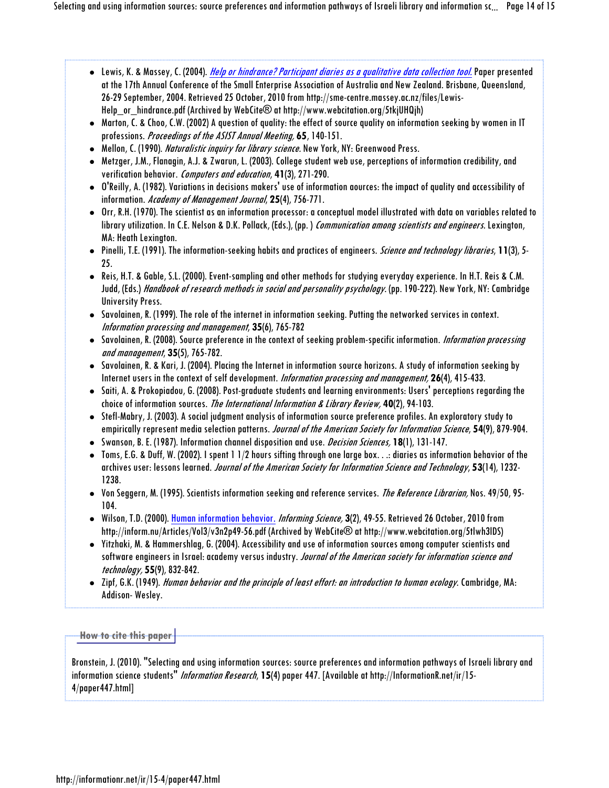- Lewis, K. & Massey, C. (2004). *Help or hindrance? Participant diaries as a qualitative data collection tool.* Paper presented at the 17th Annual Conference of the Small Enterprise Association of Australia and New Zealand. Brisbane, Queensland, 26-29 September, 2004. Retrieved 25 October, 2010 from http://sme-centre.massey.ac.nz/files/Lewis-Help\_or\_hindrance.pdf (Archived by WebCite® at http://www.webcitation.org/5tkjUHQjh)
- Marton, C. & Choo, C.W. (2002) A question of quality: the effect of source quality on information seeking by women in IT professions. Proceedings of the ASIST Annual Meeting, **65**, 140-151.
- Mellon, C. (1990). Naturalistic inquiry for library science. New York, NY: Greenwood Press.
- Metzger, J.M., Flanagin, A.J. & Zwarun, L. (2003). College student web use, perceptions of information credibility, and verification behavior. Computers and education, **41**(3), 271-290.
- O'Reilly, A. (1982). Variations in decisions makers' use of information aources: the impact of quality and accessibility of information. Academy of Management Journal, **25**(4), 756-771.
- Orr, R.H. (1970). The scientist as an information processor: a conceptual model illustrated with data on variables related to library utilization. In C.E. Nelson & D.K. Pollack, (Eds.), (pp.) Communication among scientists and engineers. Lexington, MA: Heath Lexington.
- Pinelli, T.E. (1991). The information-seeking habits and practices of engineers. Science and technology libraries, **11**(3), 5- 25.
- Reis, H.T. & Gable, S.L. (2000). Event-sampling and other methods for studying everyday experience. In H.T. Reis & C.M. Judd, (Eds.) *Handbook of research methods in social and personality psychology*. (pp. 190-222). New York, NY: Cambridge University Press.
- Savolainen, R. (1999). The role of the internet in information seeking. Putting the networked services in context. Information processing and management, **35**(6), 765-782
- Savolainen, R. (2008). Source preference in the context of seeking problem-specific information. Information processing and management, **35**(5), 765-782.
- Savolainen, R. & Kari, J. (2004). Placing the Internet in information source horizons. A study of information seeking by Internet users in the context of self development. Information processing and management, **26**(4), 415-433.
- $\bullet$  Saiti, A. & Prokopiadou, G. (2008). Post-graduate students and learning environments: Users' perceptions regarding the choice of information sources. The International Information & Library Review, **40**(2), 94-103.
- Stefl-Mabry, J. (2003). A social judgment analysis of information source preference profiles. An exploratory study to empirically represent media selection patterns. Journal of the American Society for Information Science, **54**(9), 879-904.
- Swanson, B. E. (1987). Information channel disposition and use. Decision Sciences, **18**(1), 131-147.
- Toms, E.G. & Duff, W. (2002). I spent 1 1/2 hours sifting through one large box. . .: diaries as information behavior of the archives user: lessons learned. Journal of the American Society for Information Science and Technology, **53**(14), 1232- 1238.
- Von Seggern, M. (1995). Scientists information seeking and reference services. The Reference Librarian, Nos. 49/50, 95- 104.
- Wilson, T.D. (2000). Human information behavior. Informing Science, **3**(2), 49-55. Retrieved 26 October, 2010 from http://inform.nu/Articles/Vol3/v3n2p49-56.pdf (Archived by WebCite® at http://www.webcitation.org/5tlwh3lDS)
- Yitzhaki, M. & Hammershlag, G. (2004). Accessibility and use of information sources among computer scientists and software engineers in Israel: academy versus industry. Journal of the American society for information science and technology, **55**(9), 832-842.
- Zipf, G.K. (1949). *Human behavior and the principle of least effort: an introduction to human ecology*. Cambridge, MA: Addison- Wesley.

#### **How to cite this paper**

Bronstein, J. (2010). "Selecting and using information sources: source preferences and information pathways of Israeli library and information science students" Information Research, **15**(4) paper 447. [Available at http://InformationR.net/ir/15- 4/paper447.html]